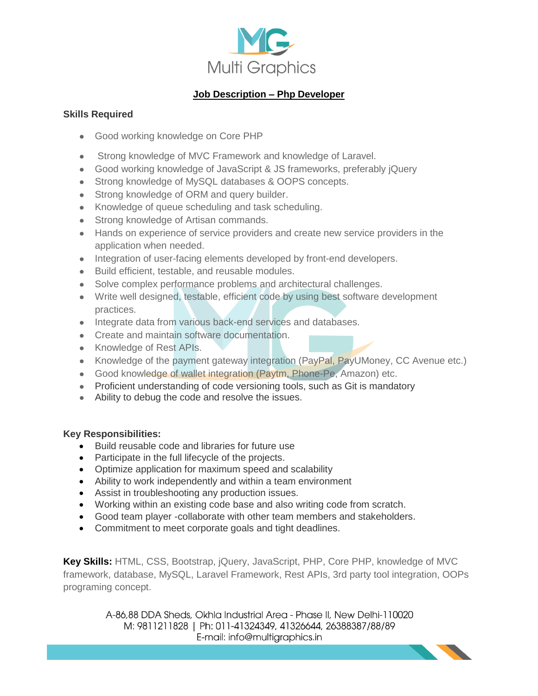

## **Job Description – Php Developer**

## **Skills Required**

- Good working knowledge on Core PHP
- Strong knowledge of MVC Framework and knowledge of Laravel.
- Good working knowledge of JavaScript & JS frameworks, preferably jQuery
- Strong knowledge of MySQL databases & OOPS concepts.
- Strong knowledge of ORM and query builder.
- Knowledge of queue scheduling and task scheduling.
- Strong knowledge of Artisan commands.
- Hands on experience of service providers and create new service providers in the application when needed.
- Integration of user-facing elements developed by front-end developers.
- Build efficient, testable, and reusable modules.
- Solve complex performance problems and architectural challenges.
- Write well designed, testable, efficient code by using best software development practices.
- Integrate data from various back-end services and databases.
- Create and maintain software documentation.
- Knowledge of Rest APIs.
- Knowledge of the payment gateway integration (PayPal, PayUMoney, CC Avenue etc.)
- Good knowledge of wallet integration (Paytm, Phone-Pe, Amazon) etc.
- Proficient understanding of code versioning tools, such as Git is mandatory
- Ability to debug the code and resolve the issues.

## **Key Responsibilities:**

- Build reusable code and libraries for future use
- Participate in the full lifecycle of the projects.
- Optimize application for maximum speed and scalability
- Ability to work independently and within a team environment
- Assist in troubleshooting any production issues.
- Working within an existing code base and also writing code from scratch.
- Good team player -collaborate with other team members and stakeholders.
- Commitment to meet corporate goals and tight deadlines.

**Key Skills:** HTML, CSS, Bootstrap, jQuery, JavaScript, PHP, Core PHP, knowledge of MVC framework, database, MySQL, Laravel Framework, Rest APIs, 3rd party tool integration, OOPs programing concept.

> A-86,88 DDA Sheds, Okhla Industrial Area - Phase II, New Delhi-110020 M: 9811211828 | Ph: 011-41324349, 41326644, 26388387/88/89 E-mail: info@multigraphics.in